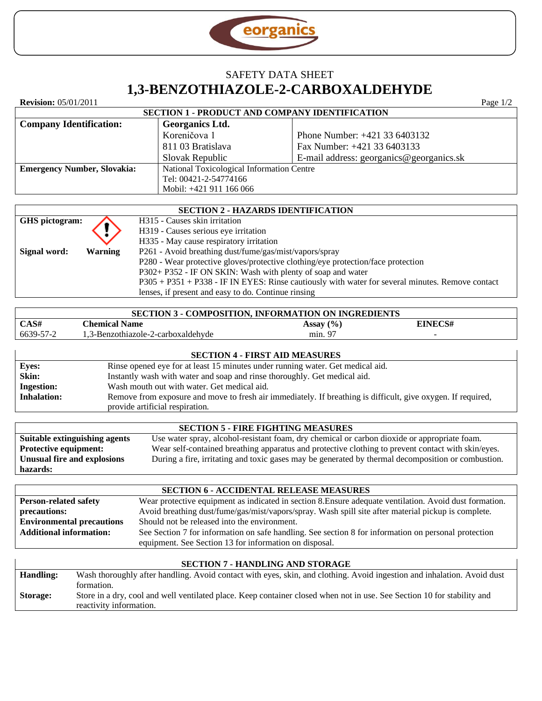

# SAFETY DATA SHEET **1,3[-BENZOTHIAZOLE-2-CARBOXALDEHYDE](http://www.georganics.sk/products/speci/Benzothiazole-2-carboxaldehyde.php)**

| <b>Revision:</b> 05/01/2011                           |                                           |                                          | Page $1/2$ |  |
|-------------------------------------------------------|-------------------------------------------|------------------------------------------|------------|--|
| <b>SECTION 1 - PRODUCT AND COMPANY IDENTIFICATION</b> |                                           |                                          |            |  |
| <b>Company Identification:</b>                        | Georganics Ltd.                           |                                          |            |  |
|                                                       | Koreničova 1                              | Phone Number: $+421$ 33 6403132          |            |  |
|                                                       | 811 03 Bratislava                         | Fax Number: +421 33 6403133              |            |  |
|                                                       | Slovak Republic                           | E-mail address: georganics@georganics.sk |            |  |
| <b>Emergency Number, Slovakia:</b>                    | National Toxicological Information Centre |                                          |            |  |
|                                                       | Tel: 00421-2-54774166                     |                                          |            |  |
|                                                       | Mobil: +421 911 166 066                   |                                          |            |  |

| <b>SECTION 2 - HAZARDS IDENTIFICATION</b> |                |                                                                                                  |  |
|-------------------------------------------|----------------|--------------------------------------------------------------------------------------------------|--|
| GHS pictogram:                            |                | H315 - Causes skin irritation                                                                    |  |
|                                           |                | H319 - Causes serious eye irritation                                                             |  |
|                                           |                | H335 - May cause respiratory irritation                                                          |  |
| Signal word:                              | <b>Warning</b> | P261 - Avoid breathing dust/fume/gas/mist/vapors/spray                                           |  |
|                                           |                | P280 - Wear protective gloves/protective clothing/eye protection/face protection                 |  |
|                                           |                | P302+ P352 - IF ON SKIN: Wash with plenty of soap and water                                      |  |
|                                           |                | P305 + P351 + P338 - IF IN EYES: Rinse cautiously with water for several minutes. Remove contact |  |
|                                           |                | lenses, if present and easy to do. Continue rinsing                                              |  |

| <b>SECTION 3 - COMPOSITION, INFORMATION ON INGREDIENTS</b> |                                    |               |                          |
|------------------------------------------------------------|------------------------------------|---------------|--------------------------|
| CAS#                                                       | <b>Chemical Name</b>               | Assay $(\% )$ | <b>EINECS#</b>           |
| 6639-57-2                                                  | 1.3-Benzothiazole-2-carboxaldehyde | min. 97       | $\overline{\phantom{0}}$ |
|                                                            |                                    |               |                          |
| <b>SECTION 4 - FIRST AID MEASURES</b>                      |                                    |               |                          |

| <b>Eyes:</b>       | Rinse opened eye for at least 15 minutes under running water. Get medical aid.                               |  |
|--------------------|--------------------------------------------------------------------------------------------------------------|--|
| Skin:              | Instantly wash with water and soap and rinse thoroughly. Get medical aid.                                    |  |
| <b>Ingestion:</b>  | Wash mouth out with water. Get medical aid.                                                                  |  |
| <b>Inhalation:</b> | Remove from exposure and move to fresh air immediately. If breathing is difficult, give oxygen. If required, |  |
|                    | provide artificial respiration.                                                                              |  |

| <b>SECTION 5 - FIRE FIGHTING MEASURES</b> |                                                                                                    |  |  |  |
|-------------------------------------------|----------------------------------------------------------------------------------------------------|--|--|--|
| Suitable extinguishing agents             | Use water spray, alcohol-resistant foam, dry chemical or carbon dioxide or appropriate foam.       |  |  |  |
| <b>Protective equipment:</b>              | Wear self-contained breathing apparatus and protective clothing to prevent contact with skin/eyes. |  |  |  |
| Unusual fire and explosions               | During a fire, irritating and toxic gases may be generated by thermal decomposition or combustion. |  |  |  |
| hazards:                                  |                                                                                                    |  |  |  |

| <b>SECTION 6 - ACCIDENTAL RELEASE MEASURES</b> |                                                                                                         |  |  |
|------------------------------------------------|---------------------------------------------------------------------------------------------------------|--|--|
| <b>Person-related safety</b>                   | Wear protective equipment as indicated in section 8. Ensure adequate ventilation. Avoid dust formation. |  |  |
| precautions:                                   | Avoid breathing dust/fume/gas/mist/vapors/spray. Wash spill site after material pickup is complete.     |  |  |
| <b>Environmental precautions</b>               | Should not be released into the environment.                                                            |  |  |
| <b>Additional information:</b>                 | See Section 7 for information on safe handling. See section 8 for information on personal protection    |  |  |
|                                                | equipment. See Section 13 for information on disposal.                                                  |  |  |

# **SECTION 7 - HANDLING AND STORAGE**

| <b>Handling:</b> | Wash thoroughly after handling. Avoid contact with eyes, skin, and clothing. Avoid ingestion and inhalation. Avoid dust |
|------------------|-------------------------------------------------------------------------------------------------------------------------|
|                  | formation.                                                                                                              |
| <b>Storage:</b>  | Store in a dry, cool and well ventilated place. Keep container closed when not in use. See Section 10 for stability and |
|                  | reactivity information.                                                                                                 |